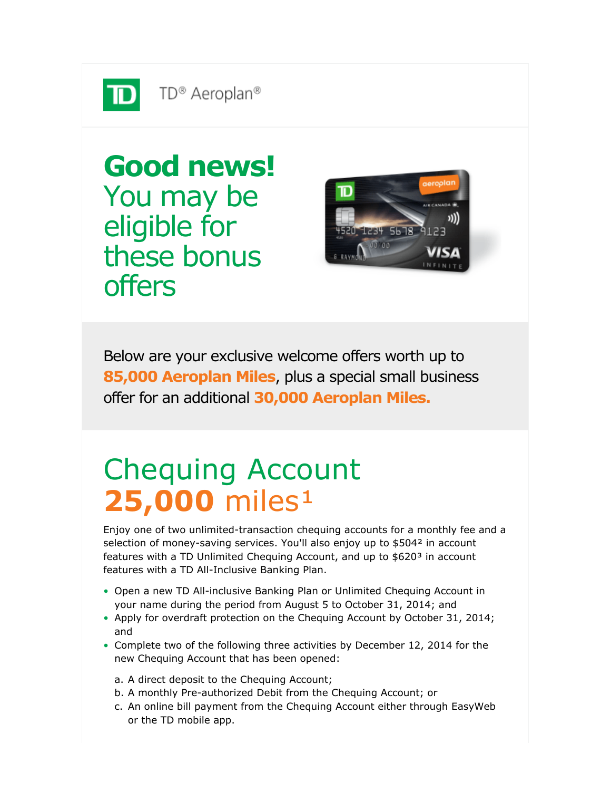

offers

**Good news!** You may be eligible for these bonus



Below are your exclusive welcome offers worth up to **85,000 Aeroplan Miles**, plus a special small business offer for an additional **30,000 Aeroplan Miles.**

## Chequing Account **25,000** miles<sup>1</sup>

Enjoy one of two unlimited-transaction chequing accounts for a monthly fee and a selection of money-saving services. You'll also enjoy up to \$504<sup>2</sup> in account features with a TD Unlimited Chequing Account, and up to \$620<sup>3</sup> in account features with a TD All-Inclusive Banking Plan.

- Open a new TD All-inclusive Banking Plan or Unlimited Chequing Account in your name during the period from August 5 to October 31, 2014; and
- Apply for overdraft protection on the Chequing Account by October 31, 2014; and
- Complete two of the following three activities by December 12, 2014 for the new Chequing Account that has been opened:
	- a. A direct deposit to the Chequing Account;
	- b. A monthly Pre-authorized Debit from the Chequing Account; or
	- c. An online bill payment from the Chequing Account either through EasyWeb or the TD mobile app.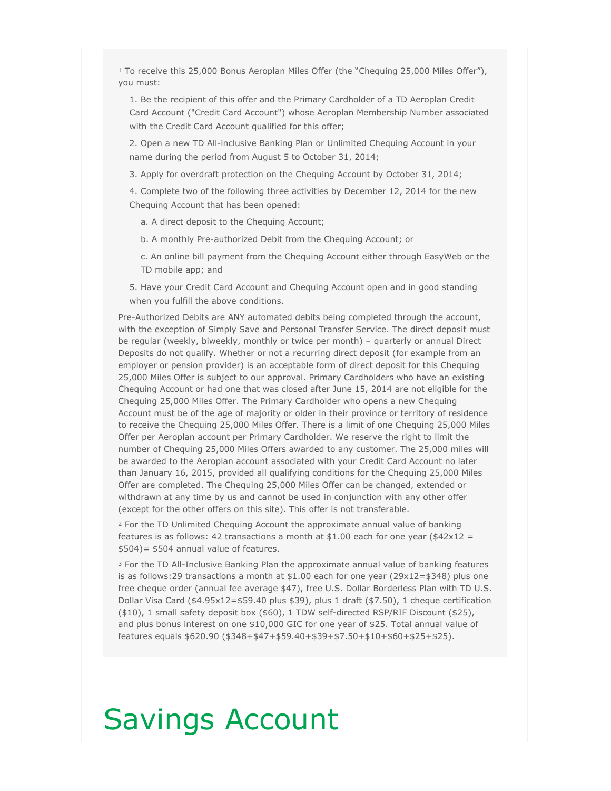$1$  To receive this 25,000 Bonus Aeroplan Miles Offer (the "Chequing 25,000 Miles Offer"), you must:

1. Be the recipient of this offer and the Primary Cardholder of a TD Aeroplan Credit Card Account ("Credit Card Account") whose Aeroplan Membership Number associated with the Credit Card Account qualified for this offer;

2. Open a new TD All-inclusive Banking Plan or Unlimited Chequing Account in your name during the period from August 5 to October 31, 2014;

3. Apply for overdraft protection on the Chequing Account by October 31, 2014;

4. Complete two of the following three activities by December 12, 2014 for the new Chequing Account that has been opened:

a. A direct deposit to the Chequing Account;

- b. A monthly Pre-authorized Debit from the Chequing Account; or
- c. An online bill payment from the Chequing Account either through EasyWeb or the TD mobile app; and
- 5. Have your Credit Card Account and Chequing Account open and in good standing when you fulfill the above conditions.

Pre-Authorized Debits are ANY automated debits being completed through the account, with the exception of Simply Save and Personal Transfer Service. The direct deposit must be regular (weekly, biweekly, monthly or twice per month) – quarterly or annual Direct Deposits do not qualify. Whether or not a recurring direct deposit (for example from an employer or pension provider) is an acceptable form of direct deposit for this Chequing 25,000 Miles Offer is subject to our approval. Primary Cardholders who have an existing Chequing Account or had one that was closed after June 15, 2014 are not eligible for the Chequing 25,000 Miles Offer. The Primary Cardholder who opens a new Chequing Account must be of the age of majority or older in their province or territory of residence to receive the Chequing 25,000 Miles Offer. There is a limit of one Chequing 25,000 Miles Offer per Aeroplan account per Primary Cardholder. We reserve the right to limit the number of Chequing 25,000 Miles Offers awarded to any customer. The 25,000 miles will be awarded to the Aeroplan account associated with your Credit Card Account no later than January 16, 2015, provided all qualifying conditions for the Chequing 25,000 Miles Offer are completed. The Chequing 25,000 Miles Offer can be changed, extended or withdrawn at any time by us and cannot be used in conjunction with any other offer (except for the other offers on this site). This offer is not transferable.

<sup>2</sup> For the TD Unlimited Chequing Account the approximate annual value of banking features is as follows: 42 transactions a month at  $$1.00$  each for one year ( $$42x12 =$ \$504)= \$504 annual value of features.

<sup>3</sup> For the TD All-Inclusive Banking Plan the approximate annual value of banking features is as follows: 29 transactions a month at  $$1.00$  each for one year ( $29x12=$348$ ) plus one free cheque order (annual fee average \$47), free U.S. Dollar Borderless Plan with TD U.S. Dollar Visa Card (\$4.95x12=\$59.40 plus \$39), plus 1 draft (\$7.50), 1 cheque certification (\$10), 1 small safety deposit box (\$60), 1 TDW self-directed RSP/RIF Discount (\$25), and plus bonus interest on one \$10,000 GIC for one year of \$25. Total annual value of features equals \$620.90 (\$348+\$47+\$59.40+\$39+\$7.50+\$10+\$60+\$25+\$25).

### Savings Account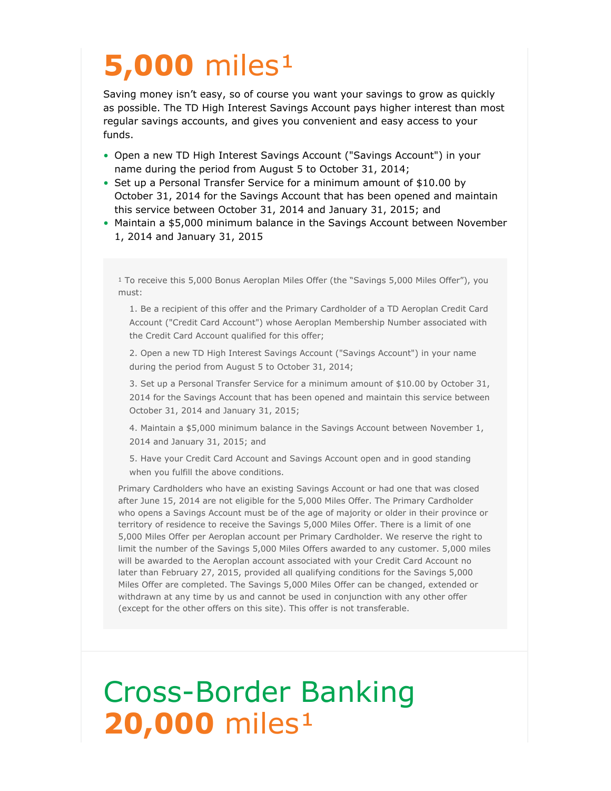# **5,000** miles<sup>1</sup>

Saving money isn't easy, so of course you want your savings to grow as quickly as possible. The TD High Interest Savings Account pays higher interest than most regular savings accounts, and gives you convenient and easy access to your funds.

- Open a new TD High Interest Savings Account ("Savings Account") in your name during the period from August 5 to October 31, 2014;
- Set up a Personal Transfer Service for a minimum amount of \$10.00 by October 31, 2014 for the Savings Account that has been opened and maintain this service between October 31, 2014 and January 31, 2015; and
- Maintain a \$5,000 minimum balance in the Savings Account between November 1, 2014 and January 31, 2015

 $^{\rm 1}$  To receive this 5,000 Bonus Aeroplan Miles Offer (the "Savings 5,000 Miles Offer"), you must:

1. Be a recipient of this offer and the Primary Cardholder of a TD Aeroplan Credit Card Account ("Credit Card Account") whose Aeroplan Membership Number associated with the Credit Card Account qualified for this offer;

2. Open a new TD High Interest Savings Account ("Savings Account") in your name during the period from August 5 to October 31, 2014;

3. Set up a Personal Transfer Service for a minimum amount of \$10.00 by October 31, 2014 for the Savings Account that has been opened and maintain this service between October 31, 2014 and January 31, 2015;

4. Maintain a \$5,000 minimum balance in the Savings Account between November 1, 2014 and January 31, 2015; and

5. Have your Credit Card Account and Savings Account open and in good standing when you fulfill the above conditions.

Primary Cardholders who have an existing Savings Account or had one that was closed after June 15, 2014 are not eligible for the 5,000 Miles Offer. The Primary Cardholder who opens a Savings Account must be of the age of majority or older in their province or territory of residence to receive the Savings 5,000 Miles Offer. There is a limit of one 5,000 Miles Offer per Aeroplan account per Primary Cardholder. We reserve the right to limit the number of the Savings 5,000 Miles Offers awarded to any customer. 5,000 miles will be awarded to the Aeroplan account associated with your Credit Card Account no later than February 27, 2015, provided all qualifying conditions for the Savings 5,000 Miles Offer are completed. The Savings 5,000 Miles Offer can be changed, extended or withdrawn at any time by us and cannot be used in conjunction with any other offer (except for the other offers on this site). This offer is not transferable.

## Cross-Border Banking **20,000** miles<sup>1</sup>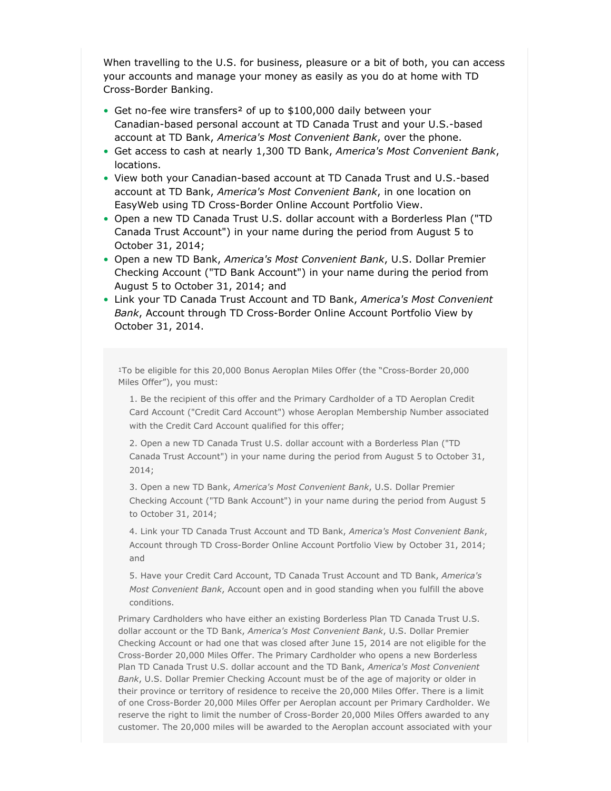When travelling to the U.S. for business, pleasure or a bit of both, you can access your accounts and manage your money as easily as you do at home with TD Cross-Border Banking.

- Get no-fee wire transfers<sup>2</sup> of up to \$100,000 daily between your Canadian-based personal account at TD Canada Trust and your U.S.-based account at TD Bank, *America's Most Convenient Bank*, over the phone.
- Get access to cash at nearly 1,300 TD Bank, *America's Most Convenient Bank*, locations.
- View both your Canadian-based account at TD Canada Trust and U.S.-based account at TD Bank, *America's Most Convenient Bank*, in one location on EasyWeb using TD Cross-Border Online Account Portfolio View.
- Open a new TD Canada Trust U.S. dollar account with a Borderless Plan ("TD Canada Trust Account") in your name during the period from August 5 to October 31, 2014;
- Open a new TD Bank, *America's Most Convenient Bank*, U.S. Dollar Premier Checking Account ("TD Bank Account") in your name during the period from August 5 to October 31, 2014; and
- Link your TD Canada Trust Account and TD Bank, *America's Most Convenient Bank*, Account through TD Cross-Border Online Account Portfolio View by October 31, 2014.

<sup>1</sup>To be eligible for this 20,000 Bonus Aeroplan Miles Offer (the "Cross-Border 20,000 Miles Offer"), you must:

1. Be the recipient of this offer and the Primary Cardholder of a TD Aeroplan Credit Card Account ("Credit Card Account") whose Aeroplan Membership Number associated with the Credit Card Account qualified for this offer;

2. Open a new TD Canada Trust U.S. dollar account with a Borderless Plan ("TD Canada Trust Account") in your name during the period from August 5 to October 31, 2014;

3. Open a new TD Bank, *America's Most Convenient Bank*, U.S. Dollar Premier Checking Account ("TD Bank Account") in your name during the period from August 5 to October 31, 2014;

4. Link your TD Canada Trust Account and TD Bank, *America's Most Convenient Bank*, Account through TD Cross-Border Online Account Portfolio View by October 31, 2014; and

5. Have your Credit Card Account, TD Canada Trust Account and TD Bank, *America's Most Convenient Bank*, Account open and in good standing when you fulfill the above conditions.

Primary Cardholders who have either an existing Borderless Plan TD Canada Trust U.S. dollar account or the TD Bank, *America's Most Convenient Bank*, U.S. Dollar Premier Checking Account or had one that was closed after June 15, 2014 are not eligible for the Cross-Border 20,000 Miles Offer. The Primary Cardholder who opens a new Borderless Plan TD Canada Trust U.S. dollar account and the TD Bank, *America's Most Convenient Bank*, U.S. Dollar Premier Checking Account must be of the age of majority or older in their province or territory of residence to receive the 20,000 Miles Offer. There is a limit of one Cross-Border 20,000 Miles Offer per Aeroplan account per Primary Cardholder. We reserve the right to limit the number of Cross-Border 20,000 Miles Offers awarded to any customer. The 20,000 miles will be awarded to the Aeroplan account associated with your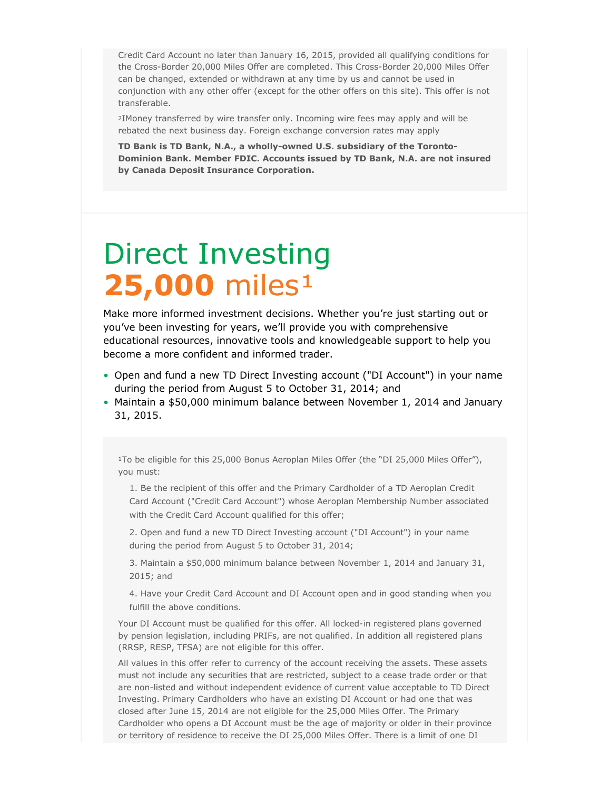Credit Card Account no later than January 16, 2015, provided all qualifying conditions for the Cross-Border 20,000 Miles Offer are completed. This Cross-Border 20,000 Miles Offer can be changed, extended or withdrawn at any time by us and cannot be used in conjunction with any other offer (except for the other offers on this site). This offer is not transferable.

<sup>2</sup>IMoney transferred by wire transfer only. Incoming wire fees may apply and will be rebated the next business day. Foreign exchange conversion rates may apply

**TD Bank is TD Bank, N.A., a wholly-owned U.S. subsidiary of the Toronto-Dominion Bank. Member FDIC. Accounts issued by TD Bank, N.A. are not insured by Canada Deposit Insurance Corporation.**

## Direct Investing **25,000** miles<sup>1</sup>

Make more informed investment decisions. Whether you're just starting out or you've been investing for years, we'll provide you with comprehensive educational resources, innovative tools and knowledgeable support to help you become a more confident and informed trader.

- Open and fund a new TD Direct Investing account ("DI Account") in your name during the period from August 5 to October 31, 2014; and
- Maintain a \$50,000 minimum balance between November 1, 2014 and January 31, 2015.

<sup>1</sup>To be eligible for this 25,000 Bonus Aeroplan Miles Offer (the "DI 25,000 Miles Offer"), you must:

1. Be the recipient of this offer and the Primary Cardholder of a TD Aeroplan Credit Card Account ("Credit Card Account") whose Aeroplan Membership Number associated with the Credit Card Account qualified for this offer;

2. Open and fund a new TD Direct Investing account ("DI Account") in your name during the period from August 5 to October 31, 2014;

3. Maintain a \$50,000 minimum balance between November 1, 2014 and January 31, 2015; and

4. Have your Credit Card Account and DI Account open and in good standing when you fulfill the above conditions.

Your DI Account must be qualified for this offer. All locked-in registered plans governed by pension legislation, including PRIFs, are not qualified. In addition all registered plans (RRSP, RESP, TFSA) are not eligible for this offer.

All values in this offer refer to currency of the account receiving the assets. These assets must not include any securities that are restricted, subject to a cease trade order or that are non-listed and without independent evidence of current value acceptable to TD Direct Investing. Primary Cardholders who have an existing DI Account or had one that was closed after June 15, 2014 are not eligible for the 25,000 Miles Offer. The Primary Cardholder who opens a DI Account must be the age of majority or older in their province or territory of residence to receive the DI 25,000 Miles Offer. There is a limit of one DI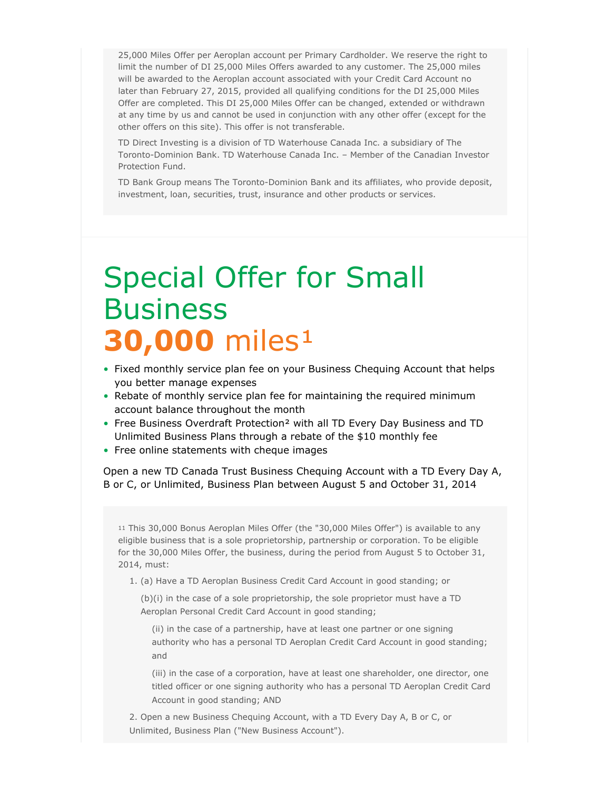25,000 Miles Offer per Aeroplan account per Primary Cardholder. We reserve the right to limit the number of DI 25,000 Miles Offers awarded to any customer. The 25,000 miles will be awarded to the Aeroplan account associated with your Credit Card Account no later than February 27, 2015, provided all qualifying conditions for the DI 25,000 Miles Offer are completed. This DI 25,000 Miles Offer can be changed, extended or withdrawn at any time by us and cannot be used in conjunction with any other offer (except for the other offers on this site). This offer is not transferable.

TD Direct Investing is a division of TD Waterhouse Canada Inc. a subsidiary of The Toronto-Dominion Bank. TD Waterhouse Canada Inc. – Member of the Canadian Investor Protection Fund.

TD Bank Group means The Toronto-Dominion Bank and its affiliates, who provide deposit, investment, loan, securities, trust, insurance and other products or services.

#### Special Offer for Small **Business 30,000** miles<sup>1</sup>

- Fixed monthly service plan fee on your Business Chequing Account that helps you better manage expenses
- Rebate of monthly service plan fee for maintaining the required minimum account balance throughout the month
- Free Business Overdraft Protection² with all TD Every Day Business and TD Unlimited Business Plans through a rebate of the \$10 monthly fee
- Free online statements with cheque images

Open a new TD Canada Trust Business Chequing Account with a TD Every Day A, B or C, or Unlimited, Business Plan between August 5 and October 31, 2014

<sup>11</sup> This 30,000 Bonus Aeroplan Miles Offer (the "30,000 Miles Offer") is available to any eligible business that is a sole proprietorship, partnership or corporation. To be eligible for the 30,000 Miles Offer, the business, during the period from August 5 to October 31, 2014, must:

1. (a) Have a TD Aeroplan Business Credit Card Account in good standing; or

(b)(i) in the case of a sole proprietorship, the sole proprietor must have a TD Aeroplan Personal Credit Card Account in good standing;

(ii) in the case of a partnership, have at least one partner or one signing authority who has a personal TD Aeroplan Credit Card Account in good standing; and

(iii) in the case of a corporation, have at least one shareholder, one director, one titled officer or one signing authority who has a personal TD Aeroplan Credit Card Account in good standing; AND

2. Open a new Business Chequing Account, with a TD Every Day A, B or C, or Unlimited, Business Plan ("New Business Account").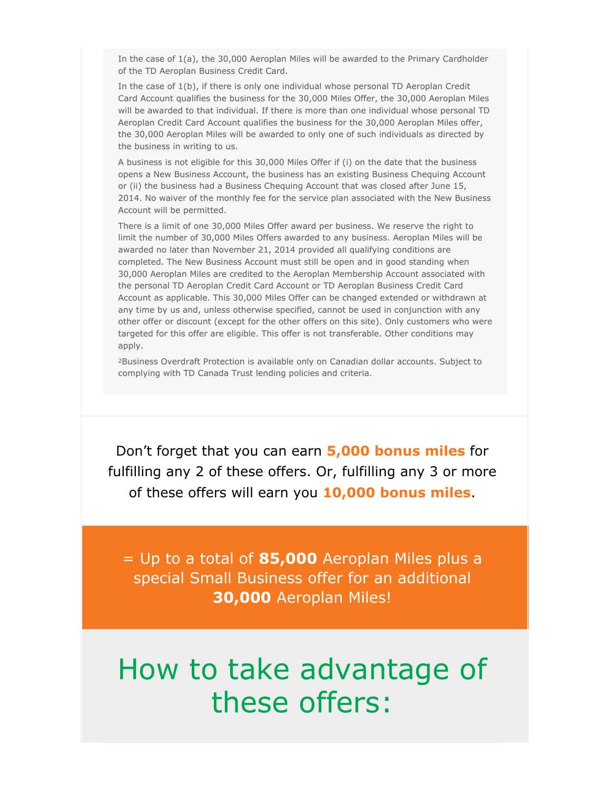In the case of 1(a), the 30,000 Aeroplan Miles will be awarded to the Primary Cardholder of the TD Aeroplan Business Credit Card.

In the case of 1(b), if there is only one individual whose personal TD Aeroplan Credit Card Account qualifies the business for the 30,000 Miles Offer, the 30,000 Aeroplan Miles will be awarded to that individual. If there is more than one individual whose personal TD Aeroplan Credit Card Account qualifies the business for the 30,000 Aeroplan Miles offer, the 30,000 Aeroplan Miles will be awarded to only one of such individuals as directed by the business in writing to us.

A business is not eligible for this 30,000 Miles Offer if (i) on the date that the business opens a New Business Account, the business has an existing Business Chequing Account or (ii) the business had a Business Chequing Account that was closed after June 15, 2014. No waiver of the monthly fee for the service plan associated with the New Business Account will be permitted.

There is a limit of one 30,000 Miles Offer award per business. We reserve the right to limit the number of 30,000 Miles Offers awarded to any business. Aeroplan Miles will be awarded no later than November 21, 2014 provided all qualifying conditions are completed. The New Business Account must still be open and in good standing when 30,000 Aeroplan Miles are credited to the Aeroplan Membership Account associated with the personal TD Aeroplan Credit Card Account or TD Aeroplan Business Credit Card Account as applicable. This 30,000 Miles Offer can be changed extended or withdrawn at any time by us and, unless otherwise specified, cannot be used in conjunction with any other offer or discount (except for the other offers on this site). Only customers who were targeted for this offer are eligible. This offer is not transferable. Other conditions may apply.

<sup>2</sup>Business Overdraft Protection is available only on Canadian dollar accounts. Subject to complying with TD Canada Trust lending policies and criteria.

Don't forget that you can earn **5,000 bonus miles** for fulfilling any 2 of these offers. Or, fulfilling any 3 or more of these offers will earn you **10,000 bonus miles**.

= Up to a total of **85,000** Aeroplan Miles plus a special Small Business offer for an additional **30,000** Aeroplan Miles!

#### How to take advantage of these offers: